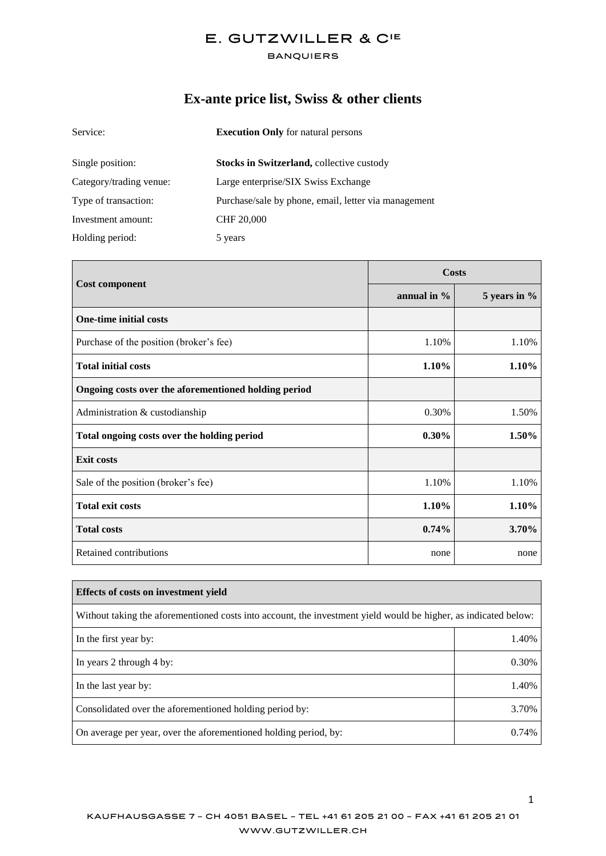#### **BANQUIERS**

# **Ex-ante price list, Swiss & other clients**

| Service:                | <b>Execution Only</b> for natural persons            |
|-------------------------|------------------------------------------------------|
| Single position:        | Stocks in Switzerland, collective custody            |
| Category/trading venue: | Large enterprise/SIX Swiss Exchange                  |
| Type of transaction:    | Purchase/sale by phone, email, letter via management |
| Investment amount:      | <b>CHF 20,000</b>                                    |
| Holding period:         | 5 years                                              |

| <b>Cost component</b>                                | Costs          |              |
|------------------------------------------------------|----------------|--------------|
|                                                      | annual in $\%$ | 5 years in % |
| <b>One-time initial costs</b>                        |                |              |
| Purchase of the position (broker's fee)              | 1.10%          | 1.10%        |
| <b>Total initial costs</b>                           | 1.10%          | 1.10%        |
| Ongoing costs over the aforementioned holding period |                |              |
| Administration & custodianship                       | 0.30%          | 1.50%        |
| Total ongoing costs over the holding period          | $0.30\%$       | 1.50%        |
| <b>Exit costs</b>                                    |                |              |
| Sale of the position (broker's fee)                  | 1.10%          | 1.10%        |
| <b>Total exit costs</b>                              | 1.10%          | 1.10%        |
| <b>Total costs</b>                                   | 0.74%          | 3.70%        |
| Retained contributions                               | none           | none         |

| Effects of costs on investment vield                                                                            |       |
|-----------------------------------------------------------------------------------------------------------------|-------|
| Without taking the aforementioned costs into account, the investment yield would be higher, as indicated below: |       |
| In the first year by:                                                                                           | 1.40% |
| In years 2 through 4 by:                                                                                        | 0.30% |
| In the last year by:                                                                                            | 1.40% |
| Consolidated over the aforementioned holding period by:                                                         | 3.70% |
| On average per year, over the aforementioned holding period, by:                                                | 0.74% |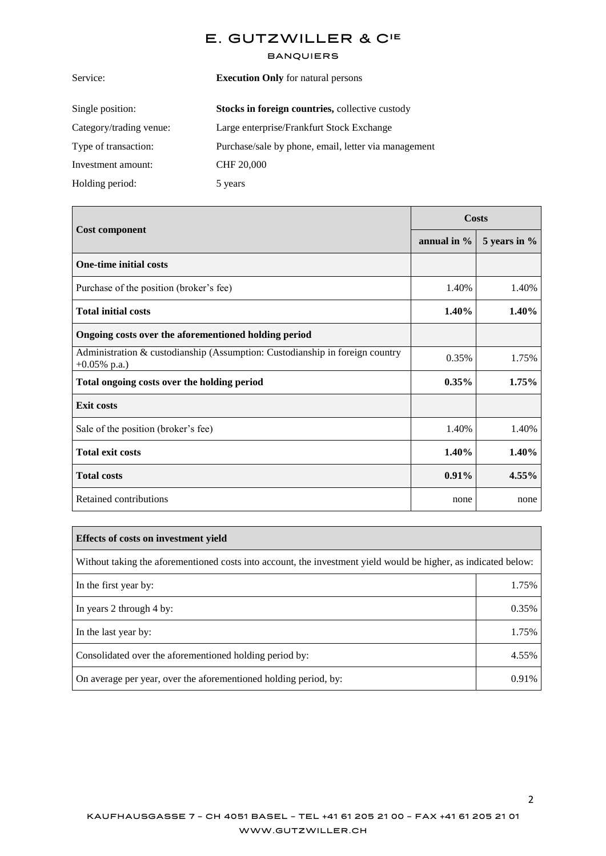#### **BANQUIERS**

| Service:<br><b>Execution Only</b> for natural persons |                                                        |
|-------------------------------------------------------|--------------------------------------------------------|
| Single position:                                      | <b>Stocks in foreign countries, collective custody</b> |
| Category/trading venue:                               | Large enterprise/Frankfurt Stock Exchange              |
| Type of transaction:                                  | Purchase/sale by phone, email, letter via management   |
| Investment amount:                                    | <b>CHF 20,000</b>                                      |
| Holding period:                                       | 5 years                                                |
|                                                       |                                                        |

|                                                                                                 | Costs          |              |
|-------------------------------------------------------------------------------------------------|----------------|--------------|
| <b>Cost component</b>                                                                           | annual in $\%$ | 5 years in % |
| <b>One-time initial costs</b>                                                                   |                |              |
| Purchase of the position (broker's fee)                                                         | 1.40%          | 1.40%        |
| <b>Total initial costs</b>                                                                      | 1.40%          | 1.40%        |
| Ongoing costs over the aforementioned holding period                                            |                |              |
| Administration & custodianship (Assumption: Custodianship in foreign country<br>$+0.05\%$ p.a.) | 0.35%          | 1.75%        |
| Total ongoing costs over the holding period                                                     | $0.35\%$       | 1.75%        |
| <b>Exit costs</b>                                                                               |                |              |
| Sale of the position (broker's fee)                                                             | 1.40%          | 1.40%        |
| <b>Total exit costs</b>                                                                         | 1.40%          | 1.40%        |
| <b>Total costs</b>                                                                              | $0.91\%$       | $4.55\%$     |
| Retained contributions                                                                          | none           | none         |

| <b>Effects of costs on investment yield</b>                                                                     |       |
|-----------------------------------------------------------------------------------------------------------------|-------|
| Without taking the aforementioned costs into account, the investment yield would be higher, as indicated below: |       |
| In the first year by:                                                                                           | 1.75% |
| In years 2 through 4 by:                                                                                        | 0.35% |
| In the last year by:                                                                                            | 1.75% |
| Consolidated over the aforementioned holding period by:                                                         | 4.55% |
| On average per year, over the aforementioned holding period, by:                                                | 0.91% |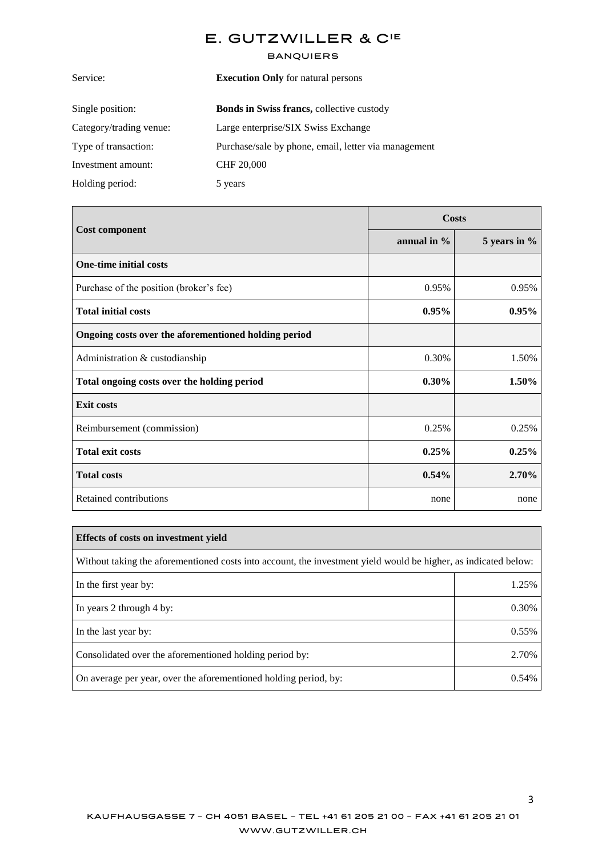#### **BANQUIERS**

| <b>Execution Only</b> for natural persons            |
|------------------------------------------------------|
| Bonds in Swiss francs, collective custody            |
| Large enterprise/SIX Swiss Exchange                  |
| Purchase/sale by phone, email, letter via management |
| <b>CHF 20,000</b>                                    |
| 5 years                                              |
|                                                      |

|                                                      | Costs          |              |
|------------------------------------------------------|----------------|--------------|
| <b>Cost component</b>                                | annual in $\%$ | 5 years in % |
| <b>One-time initial costs</b>                        |                |              |
| Purchase of the position (broker's fee)              | 0.95%          | 0.95%        |
| <b>Total initial costs</b>                           | 0.95%          | 0.95%        |
| Ongoing costs over the aforementioned holding period |                |              |
| Administration & custodianship                       | 0.30%          | 1.50%        |
| Total ongoing costs over the holding period          | $0.30\%$       | 1.50%        |
| <b>Exit costs</b>                                    |                |              |
| Reimbursement (commission)                           | 0.25%          | 0.25%        |
| <b>Total exit costs</b>                              | 0.25%          | 0.25%        |
| <b>Total costs</b>                                   | 0.54%          | 2.70%        |
| Retained contributions                               | none           | none         |

| <b>Effects of costs on investment yield</b>                                                                     |       |  |
|-----------------------------------------------------------------------------------------------------------------|-------|--|
| Without taking the aforementioned costs into account, the investment yield would be higher, as indicated below: |       |  |
| In the first year by:                                                                                           | 1.25% |  |
| In years 2 through 4 by:                                                                                        | 0.30% |  |
| In the last year by:                                                                                            | 0.55% |  |
| Consolidated over the aforementioned holding period by:                                                         | 2.70% |  |
| On average per year, over the aforementioned holding period, by:                                                | 0.54% |  |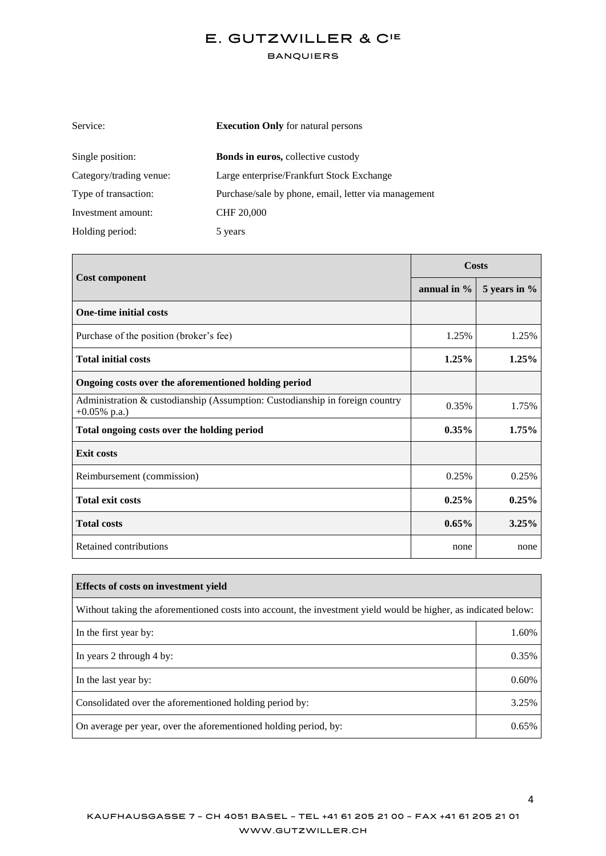#### **BANQUIERS**

| Service:<br><b>Execution Only</b> for natural persons |                                                      |
|-------------------------------------------------------|------------------------------------------------------|
| Single position:                                      | <b>Bonds in euros, collective custody</b>            |
| Category/trading venue:                               | Large enterprise/Frankfurt Stock Exchange            |
| Type of transaction:                                  | Purchase/sale by phone, email, letter via management |
| Investment amount:                                    | <b>CHF 20,000</b>                                    |
| Holding period:                                       | 5 years                                              |

|                                                                                                 | Costs          |              |
|-------------------------------------------------------------------------------------------------|----------------|--------------|
| <b>Cost component</b>                                                                           | annual in $\%$ | 5 years in % |
| <b>One-time initial costs</b>                                                                   |                |              |
| Purchase of the position (broker's fee)                                                         | 1.25%          | 1.25%        |
| <b>Total initial costs</b>                                                                      | 1.25%          | 1.25%        |
| Ongoing costs over the aforementioned holding period                                            |                |              |
| Administration & custodianship (Assumption: Custodianship in foreign country<br>$+0.05\%$ p.a.) | 0.35%          | 1.75%        |
| Total ongoing costs over the holding period                                                     | $0.35\%$       | 1.75%        |
| <b>Exit costs</b>                                                                               |                |              |
| Reimbursement (commission)                                                                      | 0.25%          | 0.25%        |
| <b>Total exit costs</b>                                                                         | 0.25%          | 0.25%        |
| <b>Total costs</b>                                                                              | $0.65\%$       | 3.25%        |
| Retained contributions                                                                          | none           | none         |

| <b>Effects of costs on investment vield</b>                                                                     |       |
|-----------------------------------------------------------------------------------------------------------------|-------|
| Without taking the aforementioned costs into account, the investment yield would be higher, as indicated below: |       |
| In the first year by:                                                                                           | 1.60% |
| In years 2 through 4 by:                                                                                        | 0.35% |
| In the last year by:                                                                                            | 0.60% |
| Consolidated over the aforementioned holding period by:                                                         | 3.25% |
| On average per year, over the aforementioned holding period, by:                                                | 0.65% |